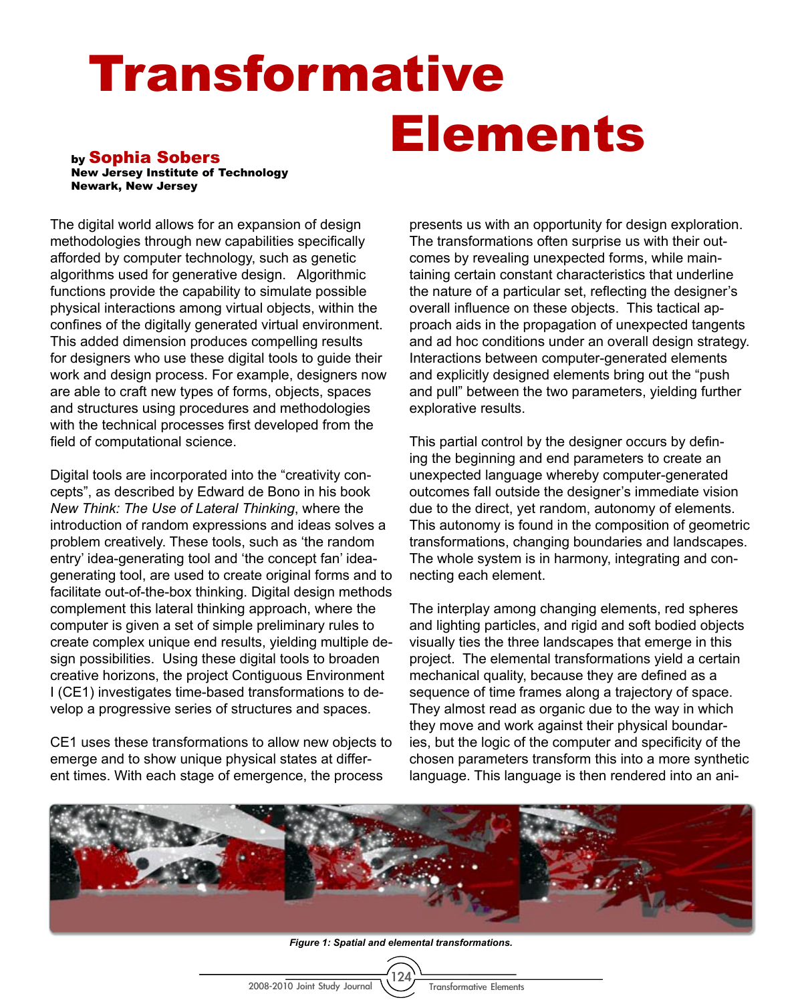## Transformative Elements by Sophia Sobers

New Jersey Institute of Technology Newark, New Jersey

The digital world allows for an expansion of design methodologies through new capabilities specifically afforded by computer technology, such as genetic algorithms used for generative design. Algorithmic functions provide the capability to simulate possible physical interactions among virtual objects, within the confines of the digitally generated virtual environment. This added dimension produces compelling results for designers who use these digital tools to guide their work and design process. For example, designers now are able to craft new types of forms, objects, spaces and structures using procedures and methodologies with the technical processes first developed from the field of computational science.

Digital tools are incorporated into the "creativity concepts", as described by Edward de Bono in his book *New Think: The Use of Lateral Thinking*, where the introduction of random expressions and ideas solves a problem creatively. These tools, such as 'the random entry' idea-generating tool and 'the concept fan' ideagenerating tool, are used to create original forms and to facilitate out-of-the-box thinking. Digital design methods complement this lateral thinking approach, where the computer is given a set of simple preliminary rules to create complex unique end results, yielding multiple design possibilities. Using these digital tools to broaden creative horizons, the project Contiguous Environment I (CE1) investigates time-based transformations to develop a progressive series of structures and spaces.

CE1 uses these transformations to allow new objects to emerge and to show unique physical states at different times. With each stage of emergence, the process

presents us with an opportunity for design exploration. The transformations often surprise us with their outcomes by revealing unexpected forms, while maintaining certain constant characteristics that underline the nature of a particular set, reflecting the designer's overall influence on these objects. This tactical approach aids in the propagation of unexpected tangents and ad hoc conditions under an overall design strategy. Interactions between computer-generated elements and explicitly designed elements bring out the "push and pull" between the two parameters, yielding further explorative results.

This partial control by the designer occurs by defining the beginning and end parameters to create an unexpected language whereby computer-generated outcomes fall outside the designer's immediate vision due to the direct, yet random, autonomy of elements. This autonomy is found in the composition of geometric transformations, changing boundaries and landscapes. The whole system is in harmony, integrating and connecting each element.

The interplay among changing elements, red spheres and lighting particles, and rigid and soft bodied objects visually ties the three landscapes that emerge in this project. The elemental transformations yield a certain mechanical quality, because they are defined as a sequence of time frames along a trajectory of space. They almost read as organic due to the way in which they move and work against their physical boundaries, but the logic of the computer and specificity of the chosen parameters transform this into a more synthetic language. This language is then rendered into an ani-



*Figure 1: Spatial and elemental transformations.*

<sup>124</sup>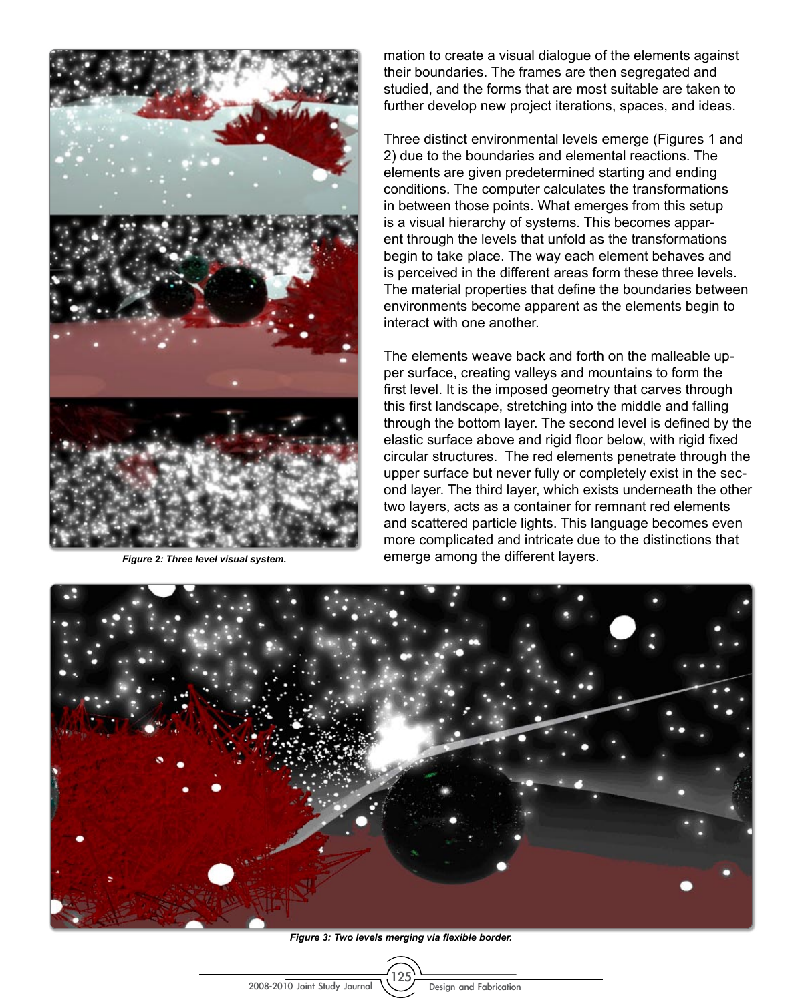

*Figure 2: Three level visual system.*

mation to create a visual dialogue of the elements against their boundaries. The frames are then segregated and studied, and the forms that are most suitable are taken to further develop new project iterations, spaces, and ideas.

Three distinct environmental levels emerge (Figures 1 and 2) due to the boundaries and elemental reactions. The elements are given predetermined starting and ending conditions. The computer calculates the transformations in between those points. What emerges from this setup is a visual hierarchy of systems. This becomes apparent through the levels that unfold as the transformations begin to take place. The way each element behaves and is perceived in the different areas form these three levels. The material properties that define the boundaries between environments become apparent as the elements begin to interact with one another.

The elements weave back and forth on the malleable upper surface, creating valleys and mountains to form the first level. It is the imposed geometry that carves through this first landscape, stretching into the middle and falling through the bottom layer. The second level is defined by the elastic surface above and rigid floor below, with rigid fixed circular structures. The red elements penetrate through the upper surface but never fully or completely exist in the second layer. The third layer, which exists underneath the other two layers, acts as a container for remnant red elements and scattered particle lights. This language becomes even more complicated and intricate due to the distinctions that emerge among the different layers.



*Figure 3: Two levels merging via flexible border.*